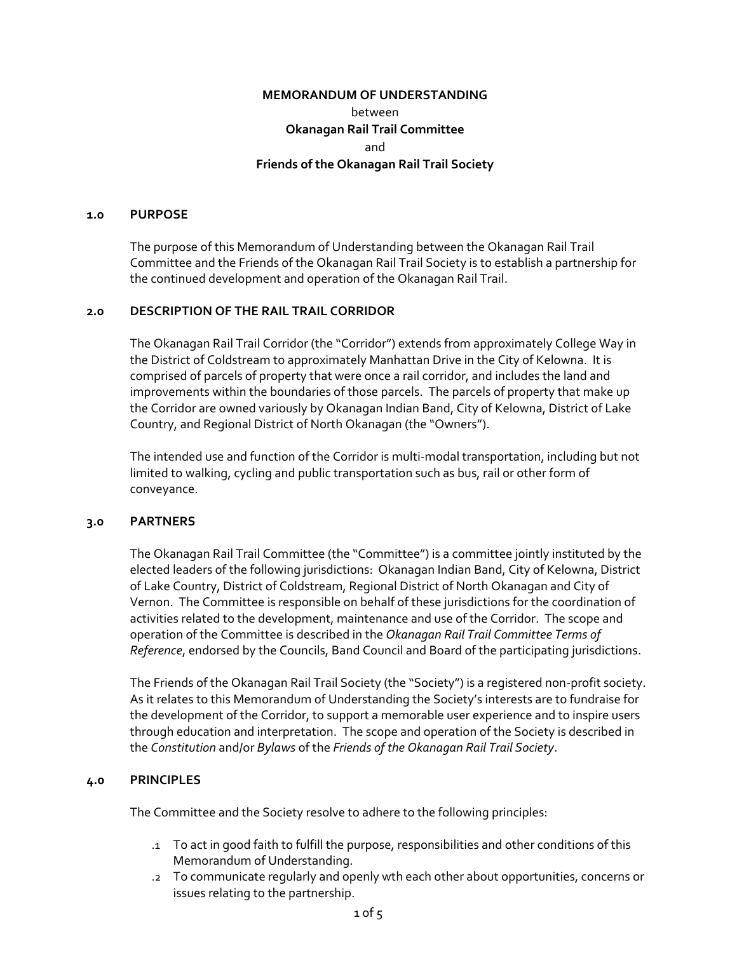# **MEMORANDUM OF UNDERSTANDING**  between **Okanagan Rail Trail Committee**  and **Friends of the Okanagan Rail Trail Society**

#### **1.0 PURPOSE**

The purpose of this Memorandum of Understanding between the Okanagan Rail Trail Committee and the Friends of the Okanagan Rail Trail Society is to establish a partnership for the continued development and operation of the Okanagan Rail Trail.

#### **2.0 DESCRIPTION OF THE RAIL TRAIL CORRIDOR**

The Okanagan Rail Trail Corridor (the "Corridor") extends from approximately College Way in the District of Coldstream to approximately Manhattan Drive in the City of Kelowna. It is comprised of parcels of property that were once a rail corridor, and includes the land and improvements within the boundaries of those parcels. The parcels of property that make up the Corridor are owned variously by Okanagan Indian Band, City of Kelowna, District of Lake Country, and Regional District of North Okanagan (the "Owners").

The intended use and function of the Corridor is multi-modal transportation, including but not limited to walking, cycling and public transportation such as bus, rail or other form of conveyance.

#### **3.0 PARTNERS**

The Okanagan Rail Trail Committee (the "Committee") is a committee jointly instituted by the elected leaders of the following jurisdictions: Okanagan Indian Band, City of Kelowna, District of Lake Country, District of Coldstream, Regional District of North Okanagan and City of Vernon. The Committee is responsible on behalf of these jurisdictions for the coordination of activities related to the development, maintenance and use of the Corridor. The scope and operation of the Committee is described in the *Okanagan Rail Trail Committee Terms of Reference*, endorsed by the Councils, Band Council and Board of the participating jurisdictions.

The Friends of the Okanagan Rail Trail Society (the "Society") is a registered non-profit society. As it relates to this Memorandum of Understanding the Society's interests are to fundraise for the development of the Corridor, to support a memorable user experience and to inspire users through education and interpretation. The scope and operation of the Society is described in the *Constitution* and/or *Bylaws* of the *Friends of the Okanagan Rail Trail Society*.

#### **4.0 PRINCIPLES**

The Committee and the Society resolve to adhere to the following principles:

- .1 To act in good faith to fulfill the purpose, responsibilities and other conditions of this Memorandum of Understanding.
- .2 To communicate regularly and openly wth each other about opportunities, concerns or issues relating to the partnership.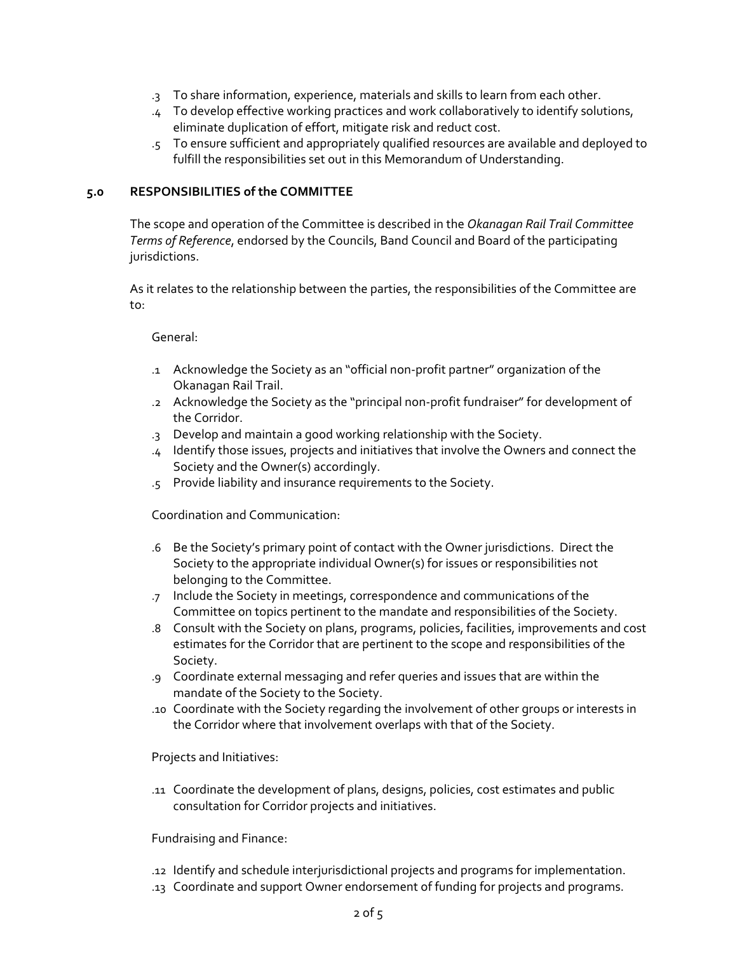- .3 To share information, experience, materials and skills to learn from each other.
- .4 To develop effective working practices and work collaboratively to identify solutions, eliminate duplication of effort, mitigate risk and reduct cost.
- .5 To ensure sufficient and appropriately qualified resources are available and deployed to fulfill the responsibilities set out in this Memorandum of Understanding.

## **5.0 RESPONSIBILITIES of the COMMITTEE**

The scope and operation of the Committee is described in the *Okanagan Rail Trail Committee Terms of Reference*, endorsed by the Councils, Band Council and Board of the participating jurisdictions.

As it relates to the relationship between the parties, the responsibilities of the Committee are to:

## General:

- .1 Acknowledge the Society as an "official non-profit partner" organization of the Okanagan Rail Trail.
- .2 Acknowledge the Society as the "principal non-profit fundraiser" for development of the Corridor.
- .3 Develop and maintain a good working relationship with the Society.
- .4 Identify those issues, projects and initiatives that involve the Owners and connect the Society and the Owner(s) accordingly.
- .5 Provide liability and insurance requirements to the Society.

#### Coordination and Communication:

- .6 Be the Society's primary point of contact with the Owner jurisdictions. Direct the Society to the appropriate individual Owner(s) for issues or responsibilities not belonging to the Committee.
- .7 Include the Society in meetings, correspondence and communications of the Committee on topics pertinent to the mandate and responsibilities of the Society.
- .8 Consult with the Society on plans, programs, policies, facilities, improvements and cost estimates for the Corridor that are pertinent to the scope and responsibilities of the Society.
- .9 Coordinate external messaging and refer queries and issues that are within the mandate of the Society to the Society.
- .10 Coordinate with the Society regarding the involvement of other groups or interests in the Corridor where that involvement overlaps with that of the Society.

#### Projects and Initiatives:

.11 Coordinate the development of plans, designs, policies, cost estimates and public consultation for Corridor projects and initiatives.

#### Fundraising and Finance:

- .12 Identify and schedule interjurisdictional projects and programs for implementation.
- .13 Coordinate and support Owner endorsement of funding for projects and programs.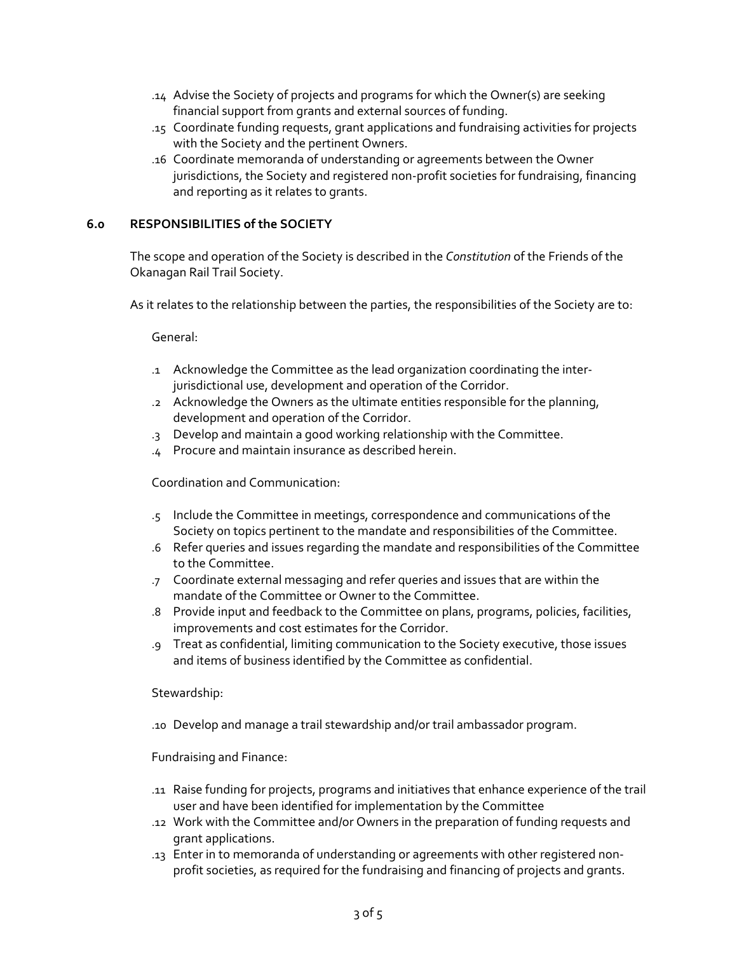- .14 Advise the Society of projects and programs for which the Owner(s) are seeking financial support from grants and external sources of funding.
- .15 Coordinate funding requests, grant applications and fundraising activities for projects with the Society and the pertinent Owners.
- .16 Coordinate memoranda of understanding or agreements between the Owner jurisdictions, the Society and registered non-profit societies for fundraising, financing and reporting as it relates to grants.

## **6.0 RESPONSIBILITIES of the SOCIETY**

The scope and operation of the Society is described in the *Constitution* of the Friends of the Okanagan Rail Trail Society.

As it relates to the relationship between the parties, the responsibilities of the Society are to:

General:

- .1 Acknowledge the Committee as the lead organization coordinating the interjurisdictional use, development and operation of the Corridor.
- .2 Acknowledge the Owners as the ultimate entities responsible for the planning, development and operation of the Corridor.
- .3 Develop and maintain a good working relationship with the Committee.
- .4 Procure and maintain insurance as described herein.

Coordination and Communication:

- .5 Include the Committee in meetings, correspondence and communications of the Society on topics pertinent to the mandate and responsibilities of the Committee.
- .6 Refer queries and issues regarding the mandate and responsibilities of the Committee to the Committee.
- .7 Coordinate external messaging and refer queries and issues that are within the mandate of the Committee or Owner to the Committee.
- .8 Provide input and feedback to the Committee on plans, programs, policies, facilities, improvements and cost estimates for the Corridor.
- .9 Treat as confidential, limiting communication to the Society executive, those issues and items of business identified by the Committee as confidential.

Stewardship:

.10 Develop and manage a trail stewardship and/or trail ambassador program.

Fundraising and Finance:

- .11 Raise funding for projects, programs and initiatives that enhance experience of the trail user and have been identified for implementation by the Committee
- .12 Work with the Committee and/or Owners in the preparation of funding requests and grant applications.
- .13 Enter in to memoranda of understanding or agreements with other registered nonprofit societies, as required for the fundraising and financing of projects and grants.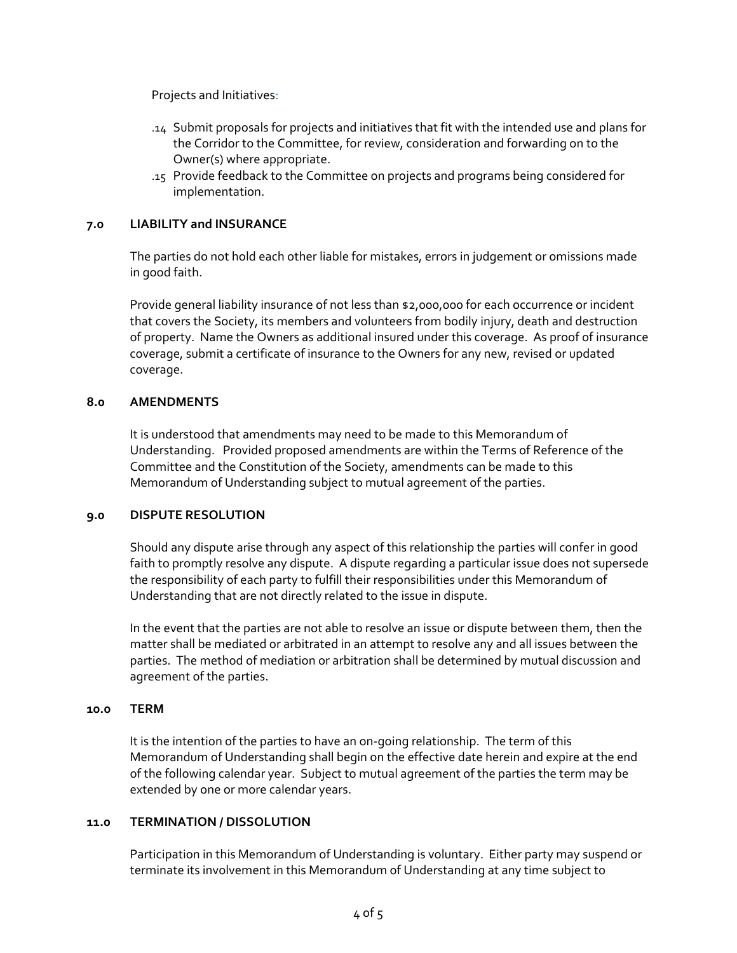Projects and Initiatives:

- .14 Submit proposals for projects and initiatives that fit with the intended use and plans for the Corridor to the Committee, for review, consideration and forwarding on to the Owner(s) where appropriate.
- .15 Provide feedback to the Committee on projects and programs being considered for implementation.

### **7.0 LIABILITY and INSURANCE**

The parties do not hold each other liable for mistakes, errors in judgement or omissions made in good faith.

Provide general liability insurance of not less than \$2,000,000 for each occurrence or incident that covers the Society, its members and volunteers from bodily injury, death and destruction of property. Name the Owners as additional insured under this coverage. As proof of insurance coverage, submit a certificate of insurance to the Owners for any new, revised or updated coverage.

#### **8.0 AMENDMENTS**

It is understood that amendments may need to be made to this Memorandum of Understanding. Provided proposed amendments are within the Terms of Reference of the Committee and the Constitution of the Society, amendments can be made to this Memorandum of Understanding subject to mutual agreement of the parties.

#### **9.0 DISPUTE RESOLUTION**

Should any dispute arise through any aspect of this relationship the parties will confer in good faith to promptly resolve any dispute. A dispute regarding a particular issue does not supersede the responsibility of each party to fulfill their responsibilities under this Memorandum of Understanding that are not directly related to the issue in dispute.

In the event that the parties are not able to resolve an issue or dispute between them, then the matter shall be mediated or arbitrated in an attempt to resolve any and all issues between the parties. The method of mediation or arbitration shall be determined by mutual discussion and agreement of the parties.

#### **10.0 TERM**

It is the intention of the parties to have an on-going relationship. The term of this Memorandum of Understanding shall begin on the effective date herein and expire at the end of the following calendar year. Subject to mutual agreement of the parties the term may be extended by one or more calendar years.

#### **11.0 TERMINATION / DISSOLUTION**

Participation in this Memorandum of Understanding is voluntary. Either party may suspend or terminate its involvement in this Memorandum of Understanding at any time subject to